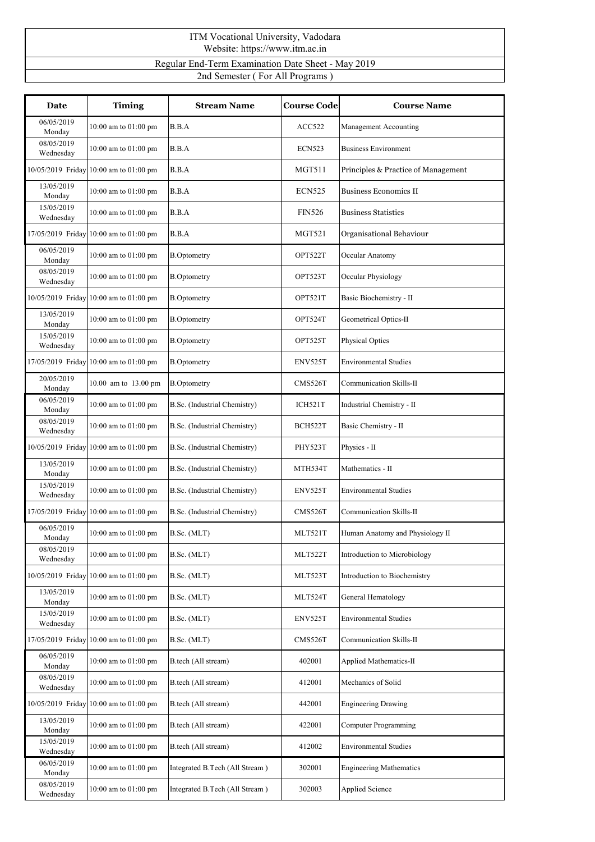| ITM Vocational University, Vadodara<br>Website: https://www.itm.ac.in |  |
|-----------------------------------------------------------------------|--|
| Regular End-Term Examination Date Sheet - May 2019                    |  |
| 2nd Semester (For All Programs)                                       |  |

| Date                    | <b>Timing</b>                          | <b>Stream Name</b>             | <b>Course Code</b> | <b>Course Name</b>                  |
|-------------------------|----------------------------------------|--------------------------------|--------------------|-------------------------------------|
| 06/05/2019<br>Monday    | 10:00 am to 01:00 pm                   | B.B.A                          | ACC522             | Management Accounting               |
| 08/05/2019<br>Wednesday | 10:00 am to 01:00 pm                   | B.B.A                          | <b>ECN523</b>      | <b>Business Environment</b>         |
|                         | 10/05/2019 Friday 10:00 am to 01:00 pm | B.B.A                          | <b>MGT511</b>      | Principles & Practice of Management |
| 13/05/2019<br>Monday    | 10:00 am to 01:00 pm                   | B.B.A                          | <b>ECN525</b>      | <b>Business Economics II</b>        |
| 15/05/2019<br>Wednesday | 10:00 am to 01:00 pm                   | B.B.A                          | <b>FIN526</b>      | <b>Business Statistics</b>          |
|                         | 17/05/2019 Friday 10:00 am to 01:00 pm | B.B.A                          | <b>MGT521</b>      | Organisational Behaviour            |
| 06/05/2019<br>Monday    | 10:00 am to 01:00 pm                   | <b>B.Optometry</b>             | OPT522T            | Occular Anatomy                     |
| 08/05/2019<br>Wednesday | $10:00$ am to $01:00$ pm               | <b>B.Optometry</b>             | OPT523T            | Occular Physiology                  |
|                         | 10/05/2019 Friday 10:00 am to 01:00 pm | <b>B.Optometry</b>             | OPT521T            | Basic Biochemistry - II             |
| 13/05/2019<br>Monday    | 10:00 am to 01:00 pm                   | <b>B.Optometry</b>             | OPT524T            | Geometrical Optics-II               |
| 15/05/2019<br>Wednesday | 10:00 am to 01:00 pm                   | <b>B.Optometry</b>             | OPT525T            | Physical Optics                     |
|                         | 17/05/2019 Friday 10:00 am to 01:00 pm | <b>B.Optometry</b>             | ENV525T            | <b>Environmental Studies</b>        |
| 20/05/2019<br>Monday    | 10.00 am to 13.00 pm                   | <b>B.Optometry</b>             | CMS526T            | Communication Skills-II             |
| 06/05/2019<br>Monday    | 10:00 am to 01:00 pm                   | B.Sc. (Industrial Chemistry)   | ICH521T            | Industrial Chemistry - II           |
| 08/05/2019<br>Wednesday | 10:00 am to 01:00 pm                   | B.Sc. (Industrial Chemistry)   | BCH522T            | Basic Chemistry - II                |
|                         | 10/05/2019 Friday 10:00 am to 01:00 pm | B.Sc. (Industrial Chemistry)   | PHY523T            | Physics - II                        |
| 13/05/2019<br>Monday    | $10:00$ am to $01:00$ pm               | B.Sc. (Industrial Chemistry)   | MTH534T            | Mathematics - II                    |
| 15/05/2019<br>Wednesday | 10:00 am to 01:00 pm                   | B.Sc. (Industrial Chemistry)   | ENV525T            | Environmental Studies               |
|                         | 17/05/2019 Friday 10:00 am to 01:00 pm | B.Sc. (Industrial Chemistry)   | CMS526T            | Communication Skills-II             |
| 06/05/2019<br>Monday    | 10:00 am to 01:00 pm                   | B.Sc. (MLT)                    | MLT521T            | Human Anatomy and Physiology II     |
| 08/05/2019<br>Wednesday | 10:00 am to 01:00 pm                   | B.Sc. (MLT)                    | MLT522T            | Introduction to Microbiology        |
|                         | 10/05/2019 Friday 10:00 am to 01:00 pm | B.Sc. (MLT)                    | MLT523T            | Introduction to Biochemistry        |
| 13/05/2019<br>Monday    | 10:00 am to 01:00 pm                   | B.Sc. (MLT)                    | MLT524T            | General Hematology                  |
| 15/05/2019<br>Wednesday | $10:00$ am to $01:00$ pm               | B.Sc. (MLT)                    | ENV525T            | <b>Environmental Studies</b>        |
|                         | 17/05/2019 Friday 10:00 am to 01:00 pm | B.Sc. (MLT)                    | CMS526T            | Communication Skills-II             |
| 06/05/2019<br>Monday    | 10:00 am to 01:00 pm                   | B.tech (All stream)            | 402001             | Applied Mathematics-II              |
| 08/05/2019<br>Wednesday | 10:00 am to 01:00 pm                   | B.tech (All stream)            | 412001             | Mechanics of Solid                  |
|                         | 10/05/2019 Friday 10:00 am to 01:00 pm | B.tech (All stream)            | 442001             | <b>Engineering Drawing</b>          |
| 13/05/2019<br>Monday    | $10:00$ am to $01:00$ pm               | B.tech (All stream)            | 422001             | Computer Programming                |
| 15/05/2019<br>Wednesday | 10:00 am to 01:00 pm                   | B.tech (All stream)            | 412002             | <b>Environmental Studies</b>        |
| 06/05/2019<br>Monday    | $10:00$ am to $01:00$ pm               | Integrated B.Tech (All Stream) | 302001             | <b>Engineering Mathematics</b>      |
| 08/05/2019<br>Wednesday | $10:00$ am to $01:00$ pm               | Integrated B.Tech (All Stream) | 302003             | Applied Science                     |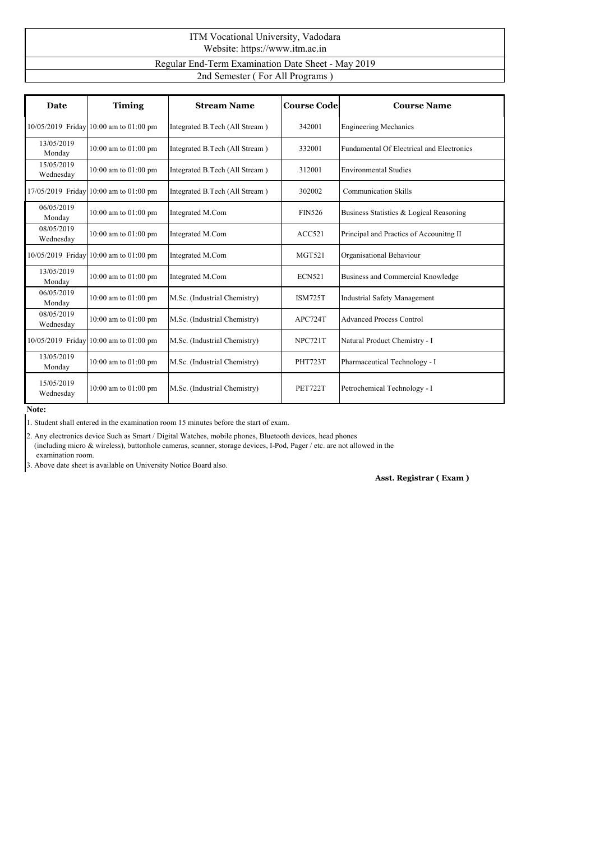| ITM Vocational University, Vadodara<br>Website: https://www.itm.ac.in |
|-----------------------------------------------------------------------|
| Regular End-Term Examination Date Sheet - May 2019                    |
| 2nd Semester (For All Programs)                                       |

| Date                    | <b>Timing</b>                          | <b>Stream Name</b>             | <b>Course Code</b> | <b>Course Name</b>                        |
|-------------------------|----------------------------------------|--------------------------------|--------------------|-------------------------------------------|
|                         | 10/05/2019 Friday 10:00 am to 01:00 pm | Integrated B.Tech (All Stream) | 342001             | <b>Engineering Mechanics</b>              |
| 13/05/2019<br>Monday    | 10:00 am to 01:00 pm                   | Integrated B.Tech (All Stream) | 332001             | Fundamental Of Electrical and Electronics |
| 15/05/2019<br>Wednesday | 10:00 am to $01:00$ pm                 | Integrated B.Tech (All Stream) | 312001             | <b>Environmental Studies</b>              |
|                         | 17/05/2019 Friday 10:00 am to 01:00 pm | Integrated B.Tech (All Stream) | 302002             | <b>Communication Skills</b>               |
| 06/05/2019<br>Monday    | 10:00 am to 01:00 pm                   | Integrated M.Com               | <b>FIN526</b>      | Business Statistics & Logical Reasoning   |
| 08/05/2019<br>Wednesday | 10:00 am to 01:00 pm                   | Integrated M.Com               | ACC521             | Principal and Practics of Accounitng II   |
|                         | 10/05/2019 Friday 10:00 am to 01:00 pm | Integrated M.Com               | <b>MGT521</b>      | Organisational Behaviour                  |
| 13/05/2019<br>Monday    | $10:00$ am to $01:00$ pm               | Integrated M.Com               | <b>ECN521</b>      | Business and Commercial Knowledge         |
| 06/05/2019<br>Monday    | 10:00 am to 01:00 pm                   | M.Sc. (Industrial Chemistry)   | <b>ISM725T</b>     | <b>Industrial Safety Management</b>       |
| 08/05/2019<br>Wednesday | 10:00 am to 01:00 pm                   | M.Sc. (Industrial Chemistry)   | APC724T            | <b>Advanced Process Control</b>           |
|                         | 10/05/2019 Friday 10:00 am to 01:00 pm | M.Sc. (Industrial Chemistry)   | NPC721T            | Natural Product Chemistry - I             |
| 13/05/2019<br>Monday    | 10:00 am to 01:00 pm                   | M.Sc. (Industrial Chemistry)   | <b>PHT723T</b>     | Pharmaceutical Technology - I             |
| 15/05/2019<br>Wednesday | 10:00 am to 01:00 pm                   | M.Sc. (Industrial Chemistry)   | <b>PET722T</b>     | Petrochemical Technology - I              |

**Note:**

2. Any electronics device Such as Smart /Digital Watches, mobile phones, Bluetooth devices, head phones (including micro & wireless), buttonhole cameras, scanner, storage devices, I-Pod, Pager / etc. are not allowed in the examination room.

3. Above date sheet is available on University Notice Board also.

**Asst. Registrar ( Exam )**

<sup>1.</sup> Student shall entered in the examination room 15 minutes before the start of exam.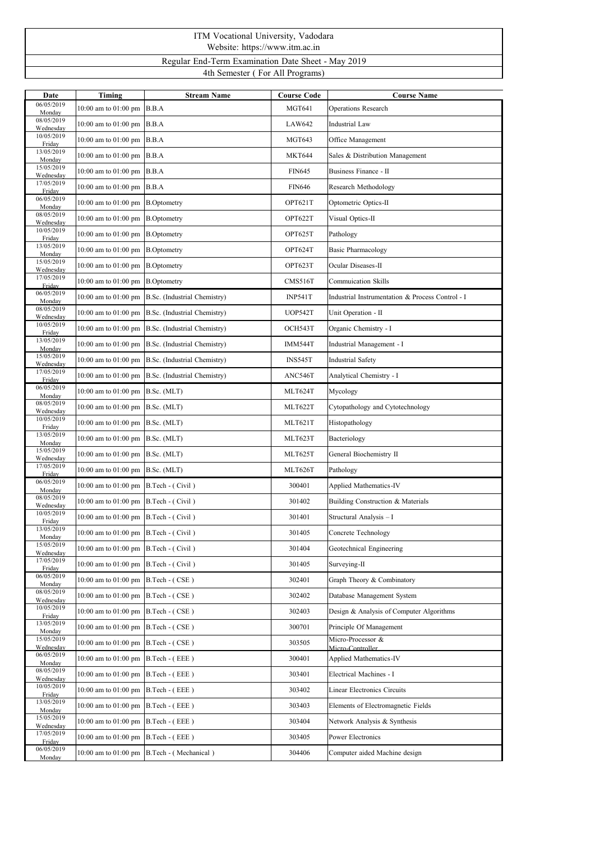## ITM Vocational University, Vadodara Website: https://www.itm.ac.in Regular End-Term Examination Date Sheet - May 2019 4th Semester ( For All Programs)

| Date                    | Timing                                     | <b>Stream Name</b>                                | <b>Course Code</b> | <b>Course Name</b>                               |
|-------------------------|--------------------------------------------|---------------------------------------------------|--------------------|--------------------------------------------------|
| 06/05/2019<br>Monday    | 10:00 am to 01:00 pm B.B.A                 |                                                   | <b>MGT641</b>      | <b>Operations Research</b>                       |
| 08/05/2019<br>Wednesday | 10:00 am to 01:00 pm B.B.A                 |                                                   | LAW642             | Industrial Law                                   |
| 10/05/2019<br>Friday    | 10:00 am to 01:00 pm B.B.A                 |                                                   | <b>MGT643</b>      | Office Management                                |
| 13/05/2019<br>Monday    | 10:00 am to 01:00 pm B.B.A                 |                                                   | <b>MKT644</b>      | Sales & Distribution Management                  |
| 15/05/2019<br>Wednesday | 10:00 am to 01:00 pm B.B.A                 |                                                   | <b>FIN645</b>      | Business Finance - II                            |
| 17/05/2019<br>Friday    | 10:00 am to 01:00 pm B.B.A                 |                                                   | <b>FIN646</b>      | Research Methodology                             |
| 06/05/2019<br>Monday    | 10:00 am to 01:00 pm                       | <b>B.Optometry</b>                                | OPT621T            | Optometric Optics-II                             |
| 08/05/2019<br>Wednesday | 10:00 am to 01:00 pm B.Optometry           |                                                   | OPT622T            | Visual Optics-II                                 |
| 10/05/2019<br>Friday    | 10:00 am to $01:00$ pm $\vert$ B.Optometry |                                                   | OPT625T            | Pathology                                        |
| 13/05/2019<br>Monday    | 10:00 am to 01:00 pm B.Optometry           |                                                   | OPT624T            | Basic Pharmacology                               |
| 15/05/2019<br>Wednesday | 10:00 am to $01:00$ pm $\vert$ B.Optometry |                                                   | OPT623T            | Ocular Diseases-II                               |
| 17/05/2019<br>Friday    | 10:00 am to 01:00 pm B.Optometry           |                                                   | CMS516T            | Commuication Skills                              |
| 06/05/2019<br>Monday    |                                            | 10:00 am to 01:00 pm B.Sc. (Industrial Chemistry) | <b>INP541T</b>     | Industrial Instrumentation & Process Control - I |
| 08/05/2019<br>Wednesday |                                            | 10:00 am to 01:00 pm B.Sc. (Industrial Chemistry) | UOP542T            | Unit Operation - II                              |
| 10/05/2019<br>Friday    |                                            | 10:00 am to 01:00 pm B.Sc. (Industrial Chemistry) | OCH543T            | Organic Chemistry - I                            |
| 13/05/2019<br>Monday    |                                            | 10:00 am to 01:00 pm B.Sc. (Industrial Chemistry) | IMM544T            | Industrial Management - I                        |
| 15/05/2019<br>Wednesday |                                            | 10:00 am to 01:00 pm B.Sc. (Industrial Chemistry) | <b>INS545T</b>     | <b>Industrial Safety</b>                         |
| 17/05/2019<br>Friday    |                                            | 10:00 am to 01:00 pm B.Sc. (Industrial Chemistry) | ANC546T            | Analytical Chemistry - I                         |
| 06/05/2019<br>Monday    | 10:00 am to 01:00 pm B.Sc. (MLT)           |                                                   | MLT624T            | Mycology                                         |
| 08/05/2019<br>Wednesday | 10:00 am to 01:00 pm B.Sc. (MLT)           |                                                   | MLT622T            | Cytopathology and Cytotechnology                 |
| 10/05/2019<br>Friday    | 10:00 am to 01:00 pm B.Sc. (MLT)           |                                                   | MLT621T            | Histopathology                                   |
| 13/05/2019<br>Monday    | 10:00 am to 01:00 pm B.Sc. (MLT)           |                                                   | MLT623T            | Bacteriology                                     |
| 15/05/2019<br>Wednesday | 10:00 am to 01:00 pm B.Sc. (MLT)           |                                                   | MLT625T            | General Biochemistry II                          |
| 17/05/2019<br>Friday    | 10:00 am to 01:00 pm B.Sc. (MLT)           |                                                   | MLT626T            | Pathology                                        |
| 06/05/2019<br>Monday    | 10:00 am to 01:00 pm B.Tech - (Civil)      |                                                   | 300401             | <b>Applied Mathematics-IV</b>                    |
| 08/05/2019<br>Wednesday | 10:00 am to 01:00 pm B.Tech - (Civil)      |                                                   | 301402             | Building Construction & Materials                |
| 10/05/2019<br>Friday    | 10:00 am to 01:00 pm B.Tech - (Civil)      |                                                   | 301401             | Structural Analysis - I                          |
| 13/05/2019<br>Monday    | 10:00 am to 01:00 pm B.Tech - (Civil)      |                                                   | 301405             | Concrete Technology                              |
| 15/05/2019<br>Wednesday | 10:00 am to $01:00$ pm B.Tech - (Civil)    |                                                   | 301404             | Geotechnical Engineering                         |
| 17/05/2019<br>Friday    | 10:00 am to $01:00$ pm B.Tech - (Civil)    |                                                   | 301405             | Surveying-II                                     |
| 06/05/2019<br>Monday    | 10:00 am to 01:00 pm B.Tech - (CSE)        |                                                   | 302401             | Graph Theory & Combinatory                       |
| 08/05/2019<br>Wednesday | 10:00 am to 01:00 pm B.Tech - (CSE)        |                                                   | 302402             | Database Management System                       |
| 10/05/2019<br>Friday    | 10:00 am to 01:00 pm B.Tech - (CSE)        |                                                   | 302403             | Design & Analysis of Computer Algorithms         |
| 13/05/2019<br>Monday    | 10:00 am to 01:00 pm B.Tech - (CSE)        |                                                   | 300701             | Principle Of Management                          |
| 15/05/2019<br>Wednesday | 10:00 am to 01:00 pm B.Tech - (CSE)        |                                                   | 303505             | Micro-Processor &<br>Micro-Controller            |
| 06/05/2019<br>Monday    | 10:00 am to 01:00 pm B.Tech - (EEE)        |                                                   | 300401             | Applied Mathematics-IV                           |
| 08/05/2019<br>Wednesday | 10:00 am to 01:00 pm B.Tech - (EEE)        |                                                   | 303401             | Electrical Machines - I                          |
| 10/05/2019<br>Friday    | 10:00 am to 01:00 pm B.Tech - (EEE)        |                                                   | 303402             | Linear Electronics Circuits                      |
| 13/05/2019<br>Monday    | 10:00 am to 01:00 pm B.Tech - (EEE)        |                                                   | 303403             | Elements of Electromagnetic Fields               |
| 15/05/2019<br>Wednesday | 10:00 am to 01:00 pm B.Tech - (EEE)        |                                                   | 303404             | Network Analysis & Synthesis                     |
| 17/05/2019<br>Friday    | 10:00 am to 01:00 pm B.Tech - (EEE)        |                                                   | 303405             | Power Electronics                                |
| 06/05/2019<br>Monday    |                                            | 10:00 am to 01:00 pm B.Tech - (Mechanical)        | 304406             | Computer aided Machine design                    |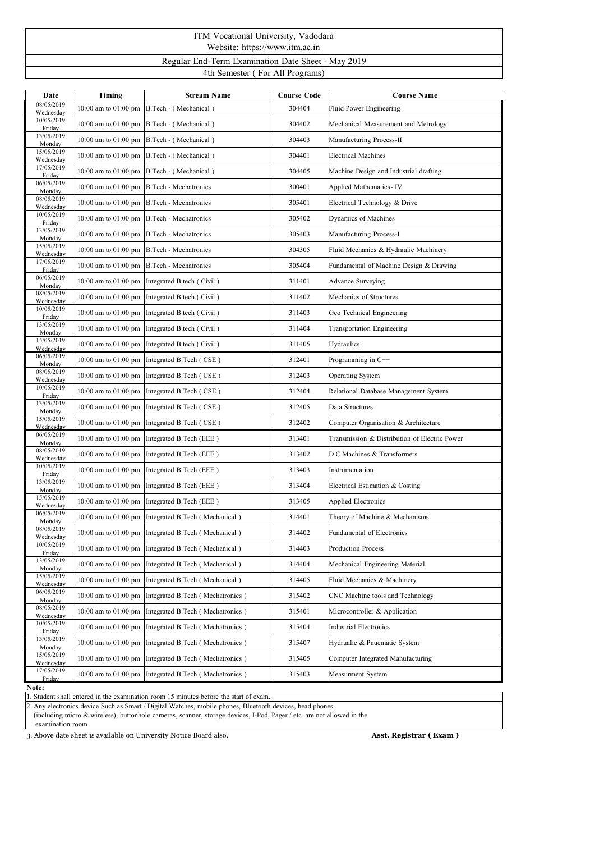## ITM Vocational University, Vadodara Website: https://www.itm.ac.in Regular End-Term Examination Date Sheet - May 2019

4th Semester ( For All Programs)

| Date                    | Timing                   | <b>Stream Name</b>                                    | <b>Course Code</b> | <b>Course Name</b>                            |  |
|-------------------------|--------------------------|-------------------------------------------------------|--------------------|-----------------------------------------------|--|
| 08/05/2019<br>Wednesday |                          | 10:00 am to 01:00 pm B.Tech - (Mechanical)            | 304404             | Fluid Power Engineering                       |  |
| 10/05/2019<br>Friday    |                          | 10:00 am to 01:00 pm B.Tech - (Mechanical)            | 304402             | Mechanical Measurement and Metrology          |  |
| 13/05/2019<br>Monday    |                          | 10:00 am to 01:00 pm B.Tech - (Mechanical)            | 304403             | Manufacturing Process-II                      |  |
| 15/05/2019<br>Wednesday |                          | 10:00 am to 01:00 pm B.Tech - (Mechanical)            | 304401             | <b>Electrical Machines</b>                    |  |
| 17/05/2019<br>Friday    |                          | 10:00 am to 01:00 pm B.Tech - (Mechanical)            | 304405             | Machine Design and Industrial drafting        |  |
| 06/05/2019<br>Monday    |                          | 10:00 am to 01:00 pm B.Tech - Mechatronics            | 300401             | Applied Mathematics - IV                      |  |
| 08/05/2019<br>Wednesday |                          | 10:00 am to 01:00 pm B.Tech - Mechatronics            | 305401             | Electrical Technology & Drive                 |  |
| 10/05/2019<br>Friday    |                          | 10:00 am to 01:00 pm B.Tech - Mechatronics            | 305402             | Dynamics of Machines                          |  |
| 13/05/2019<br>Monday    |                          | 10:00 am to 01:00 pm B.Tech - Mechatronics            | 305403             | Manufacturing Process-I                       |  |
| 15/05/2019<br>Wednesday |                          | 10:00 am to 01:00 pm B.Tech - Mechatronics            | 304305             | Fluid Mechanics & Hydraulic Machinery         |  |
| 17/05/2019<br>Friday    |                          | 10:00 am to 01:00 pm B.Tech - Mechatronics            | 305404             | Fundamental of Machine Design & Drawing       |  |
| 06/05/2019<br>Monday    |                          | 10:00 am to 01:00 pm Integrated B.tech (Civil)        | 311401             | <b>Advance Surveying</b>                      |  |
| 08/05/2019<br>Wednesday |                          | 10:00 am to 01:00 pm Integrated B.tech (Civil)        | 311402             | Mechanics of Structures                       |  |
| 10/05/2019<br>Friday    |                          | 10:00 am to 01:00 pm Integrated B.tech (Civil)        | 311403             | Geo Technical Engineering                     |  |
| 13/05/2019<br>Monday    |                          | 10:00 am to 01:00 pm Integrated B.tech (Civil)        | 311404             | Transportation Engineering                    |  |
| 15/05/2019<br>Wednesdav |                          | 10:00 am to 01:00 pm Integrated B tech (Civil)        | 311405             | Hydraulics                                    |  |
| 06/05/2019<br>Monday    |                          | 10:00 am to 01:00 pm Integrated B.Tech (CSE)          | 312401             | Programming in C++                            |  |
| 08/05/2019<br>Wednesday |                          | 10:00 am to 01:00 pm Integrated B.Tech (CSE)          | 312403             | Operating System                              |  |
| 10/05/2019<br>Friday    | 10:00 am to 01:00 pm     | Integrated B.Tech (CSE)                               | 312404             | Relational Database Management System         |  |
| 13/05/2019<br>Monday    | 10:00 am to 01:00 pm     | Integrated B.Tech (CSE)                               | 312405             | Data Structures                               |  |
| 15/05/2019<br>Wednesdav | $10:00$ am to $01:00$ pm | Integrated B.Tech (CSE)                               | 312402             | Computer Organisation & Architecture          |  |
| 06/05/2019<br>Monday    |                          | 10:00 am to 01:00 pm Integrated B.Tech (EEE)          | 313401             | Transmission & Distribution of Electric Power |  |
| 08/05/2019<br>Wednesday |                          | 10:00 am to 01:00 pm Integrated B.Tech (EEE)          | 313402             | D.C Machines & Transformers                   |  |
| 10/05/2019<br>Friday    | 10:00 am to 01:00 pm     | Integrated B.Tech (EEE)                               | 313403             | Instrumentation                               |  |
| 13/05/2019<br>Monday    | 10:00 am to 01:00 pm     | Integrated B.Tech (EEE)                               | 313404             | Electrical Estimation & Costing               |  |
| 15/05/2019<br>Wednesday |                          | 10:00 am to 01:00 pm Integrated B.Tech (EEE)          | 313405             | <b>Applied Electronics</b>                    |  |
| 06/05/2019<br>Monday    |                          | 10:00 am to 01:00 pm Integrated B.Tech (Mechanical)   | 314401             | Theory of Machine & Mechanisms                |  |
| 08/05/2019<br>Wednesday |                          | 10:00 am to 01:00 pm Integrated B.Tech (Mechanical)   | 314402             | Fundamental of Electronics                    |  |
| 10/05/2019<br>Friday    |                          | 10:00 am to 01:00 pm Integrated B.Tech (Mechanical)   | 314403             | Production Process                            |  |
| 13/05/2019<br>Monday    | 10:00 am to 01:00 pm     | Integrated B.Tech (Mechanical)                        | 314404             | Mechanical Engineering Material               |  |
| 15/05/2019<br>Wednesday |                          | 10:00 am to 01:00 pm Integrated B.Tech (Mechanical)   | 314405             | Fluid Mechanics & Machinery                   |  |
| 06/05/2019<br>Monday    | 10:00 am to 01:00 pm     | Integrated B.Tech (Mechatronics)                      | 315402             | CNC Machine tools and Technology              |  |
| 08/05/2019<br>Wednesday | 10:00 am to 01:00 pm     | Integrated B.Tech (Mechatronics)                      | 315401             | Microcontroller & Application                 |  |
| 10/05/2019<br>Friday    |                          | 10:00 am to 01:00 pm Integrated B.Tech (Mechatronics) | 315404             | <b>Industrial Electronics</b>                 |  |
| 13/05/2019<br>Monday    | 10:00 am to 01:00 pm     | Integrated B.Tech (Mechatronics)                      | 315407             | Hydrualic & Pnuematic System                  |  |
| 15/05/2019<br>Wednesday | 10:00 am to 01:00 pm     | Integrated B.Tech (Mechatronics)                      | 315405             | Computer Integrated Manufacturing             |  |
| 17/05/2019<br>Friday    | 10:00 am to 01:00 pm     | Integrated B.Tech (Mechatronics)                      | 315403             | Measurment System                             |  |
|                         |                          |                                                       |                    |                                               |  |

Note:<br>1. Student shall entered in the examination room 15 minutes before the start of exam-

2. Any electronics device Such as Smart / Digital Watches, mobile phones, Bluetooth devices, head phones

(including micro & wireless), buttonhole cameras, scanner, storage devices, I-Pod, Pager / etc. are not allowed in the

examination room.

3. Above date sheet is available on University Notice Board also. **Asst. Registrar ( Exam )**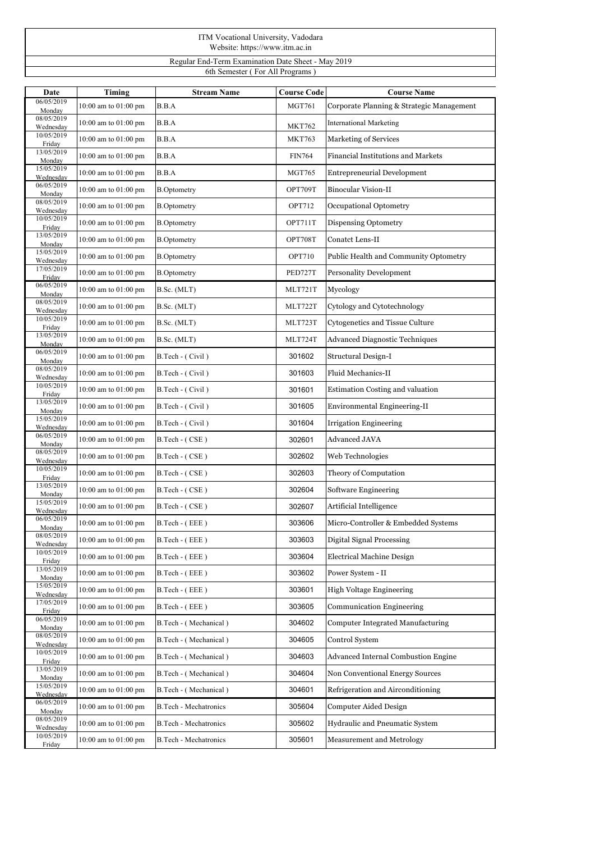| ITM Vocational University, Vadodara<br>Website: https://www.itm.ac.in |  |
|-----------------------------------------------------------------------|--|
| Regular End-Term Examination Date Sheet - May 2019                    |  |
| 6th Semester (For All Programs)                                       |  |

| 06/05/2019<br>10:00 am to 01:00 pm<br>Corporate Planning & Strategic Management<br>B.B.A<br><b>MGT761</b>                     |  |
|-------------------------------------------------------------------------------------------------------------------------------|--|
| Monday                                                                                                                        |  |
| 08/05/2019<br>B.B.A<br>10:00 am to 01:00 pm<br><b>International Marketing</b><br><b>MKT762</b><br>Wednesday                   |  |
| 10/05/2019<br>B.B.A<br><b>MKT763</b><br>Marketing of Services<br>10:00 am to 01:00 pm<br>Friday                               |  |
| 13/05/2019<br>$10:00$ am to $01:00$ pm<br>B.B.A<br><b>FIN764</b><br>Financial Institutions and Markets<br>Monday              |  |
| 15/05/2019<br>10:00 am to 01:00 pm<br>B.B.A<br><b>MGT765</b><br><b>Entrepreneurial Development</b><br>Wednesday               |  |
| 06/05/2019<br><b>Binocular Vision-II</b><br>10:00 am to 01:00 pm<br><b>B.Optometry</b><br>OPT709T<br>Monday                   |  |
| 08/05/2019<br>10:00 am to 01:00 pm<br><b>OPT712</b><br>Occupational Optometry<br><b>B.Optometry</b><br>Wednesday              |  |
| 10/05/2019<br>10:00 am to 01:00 pm<br><b>B.Optometry</b><br>OPT711T<br>Dispensing Optometry<br>Friday                         |  |
| 13/05/2019<br>OPT708T<br>$10:00$ am to $01:00$ pm<br><b>B.Optometry</b><br>Conatct Lens-II<br>Monday                          |  |
| 15/05/2019<br>OPT710<br>10:00 am to 01:00 pm<br>Public Health and Community Optometry<br><b>B.Optometry</b><br>Wednesday      |  |
| 17/05/2019<br>PED727T<br><b>Personality Development</b><br>10:00 am to 01:00 pm<br><b>B.Optometry</b><br>Friday               |  |
| 06/05/2019<br>10:00 am to 01:00 pm<br>Mycology<br>B.Sc. (MLT)<br>MLT721T<br>Monday                                            |  |
| 08/05/2019<br>10:00 am to 01:00 pm<br>MLT722T<br>Cytology and Cytotechnology<br>B.Sc. (MLT)<br>Wednesday                      |  |
| 10/05/2019<br>Cytogenetics and Tissue Culture<br>10:00 am to 01:00 pm<br>B.Sc. (MLT)<br>MLT723T<br>Friday                     |  |
| 13/05/2019<br>MLT724T<br><b>Advanced Diagnostic Techniques</b><br>10:00 am to 01:00 pm<br>B.Sc. (MLT)<br>Monday               |  |
| 06/05/2019<br>10:00 am to 01:00 pm<br>B.Tech - (Civil)<br>301602<br>Structural Design-I<br>Monday                             |  |
| 08/05/2019<br>Fluid Mechanics-II<br>10:00 am to 01:00 pm<br>B.Tech - (Civil)<br>301603<br>Wednesday                           |  |
| 10/05/2019<br>301601<br>10:00 am to 01:00 pm<br>B.Tech - (Civil)<br>Estimation Costing and valuation<br>Friday                |  |
| 13/05/2019<br>$10:00$ am to $01:00$ pm<br>301605<br>Environmental Engineering-II<br>B.Tech - (Civil)<br>Monday                |  |
| 15/05/2019<br>10:00 am to 01:00 pm<br>B.Tech - (Civil)<br>301604<br>Irrigation Engineering<br>Wednesday                       |  |
| 06/05/2019<br>Advanced JAVA<br>10:00 am to 01:00 pm<br>B.Tech - (CSE)<br>302601<br>Monday                                     |  |
| 08/05/2019<br>10:00 am to 01:00 pm<br>302602<br>Web Technologies<br>B.Tech - (CSE)<br>Wednesday                               |  |
| 10/05/2019<br>10:00 am to 01:00 pm<br>302603<br>Theory of Computation<br>B.Tech - (CSE)<br>Friday                             |  |
| 13/05/2019<br>302604<br>Software Engineering<br>10:00 am to 01:00 pm<br>B.Tech - (CSE)<br>Monday                              |  |
| 15/05/2019<br>10:00 am to 01:00 pm<br>B.Tech - (CSE)<br>302607<br>Artificial Intelligence<br>Wednesday                        |  |
| 06/05/2019<br>303606<br>Micro-Controller & Embedded Systems<br>10:00 am to 01:00 pm<br>B.Tech - (EEE)<br>Monday               |  |
| 08/05/2019<br>10:00 am to 01:00 pm<br>Digital Signal Processing<br>B.Tech - (EEE)<br>303603<br>Wednesday                      |  |
| 10/05/2019<br>303604<br>10:00 am to 01:00 pm<br>B.Tech - (EEE)<br><b>Electrical Machine Design</b><br>Friday                  |  |
| 13/05/2019<br>10:00 am to 01:00 pm<br>303602<br>Power System - II<br>B.Tech - (EEE)<br>Monday                                 |  |
| 15/05/2019<br>303601<br>High Voltage Engineering<br>10:00 am to 01:00 pm<br>B.Tech - (EEE)<br>Wednesday                       |  |
| 17/05/2019<br>$10:00$ am to $01:00$ pm<br>303605<br><b>Communication Engineering</b><br>B.Tech - (EEE)<br>Friday              |  |
| 06/05/2019<br>10:00 am to 01:00 pm<br>B.Tech - (Mechanical)<br>304602<br><b>Computer Integrated Manufacturing</b><br>Monday   |  |
| 08/05/2019<br>10:00 am to 01:00 pm<br>B.Tech - (Mechanical)<br>304605<br>Control System<br>Wednesday                          |  |
| 10/05/2019<br><b>Advanced Internal Combustion Engine</b><br>10:00 am to 01:00 pm<br>B.Tech - (Mechanical)<br>304603<br>Friday |  |
| 13/05/2019<br>304604<br>Non Conventional Energy Sources<br>10:00 am to 01:00 pm<br>B.Tech - (Mechanical)<br>Monday            |  |
| 15/05/2019<br>10:00 am to 01:00 pm<br>B.Tech - (Mechanical)<br>304601<br>Refrigeration and Airconditioning<br>Wednesday       |  |
| 06/05/2019<br>10:00 am to 01:00 pm<br>B.Tech - Mechatronics<br>305604<br>Computer Aided Design<br>Monday                      |  |
| 08/05/2019<br>10:00 am to 01:00 pm<br>305602<br>Hydraulic and Pneumatic System<br>B.Tech - Mechatronics<br>Wednesday          |  |
| 10/05/2019<br>305601<br>10:00 am to 01:00 pm<br>B.Tech - Mechatronics<br>Measurement and Metrology<br>Friday                  |  |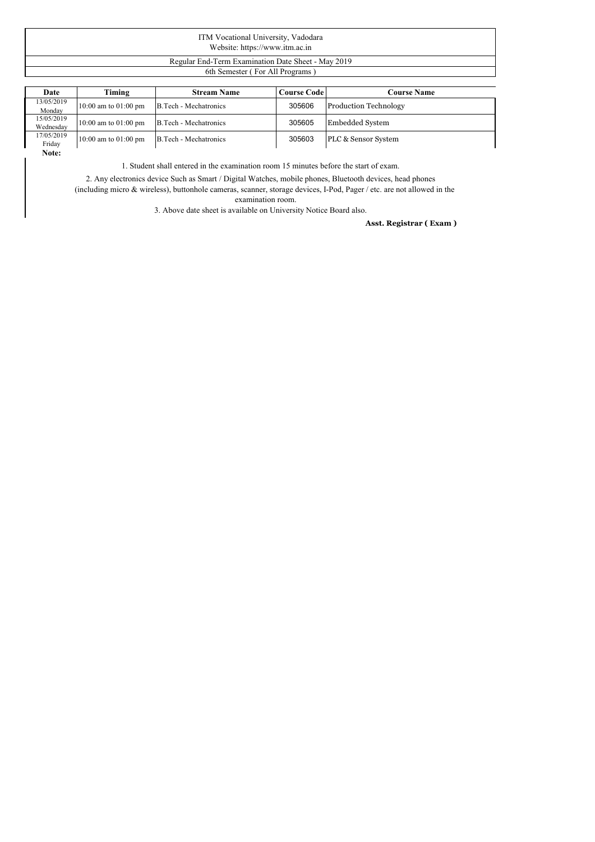| ITM Vocational University, Vadodara<br>Website: https://www.itm.ac.in |  |
|-----------------------------------------------------------------------|--|
| Regular End-Term Examination Date Sheet - May 2019                    |  |
| 6th Semester (For All Programs)                                       |  |

| Date                    | Timing                   | <b>Stream Name</b>    | Course Code | <b>Course Name</b>           |
|-------------------------|--------------------------|-----------------------|-------------|------------------------------|
| 13/05/2019<br>Monday    | $10:00$ am to $01:00$ pm | B.Tech - Mechatronics | 305606      | <b>Production Technology</b> |
| 15/05/2019<br>Wednesday | $10:00$ am to $01:00$ pm | B.Tech - Mechatronics | 305605      | Embedded System              |
| 17/05/2019<br>Friday    | $10:00$ am to $01:00$ pm | B.Tech - Mechatronics | 305603      | PLC & Sensor System          |
| Note:                   |                          |                       |             |                              |

1. Student shall entered in the examination room 15 minutes before the start of exam.

2. Any electronics device Such as Smart /Digital Watches, mobile phones, Bluetooth devices, head phones

(including micro & wireless), buttonhole cameras, scanner, storage devices, I-Pod, Pager / etc. are not allowed in the examination room.

3. Above date sheet is available on University Notice Board also.

## **Asst. Registrar ( Exam )**